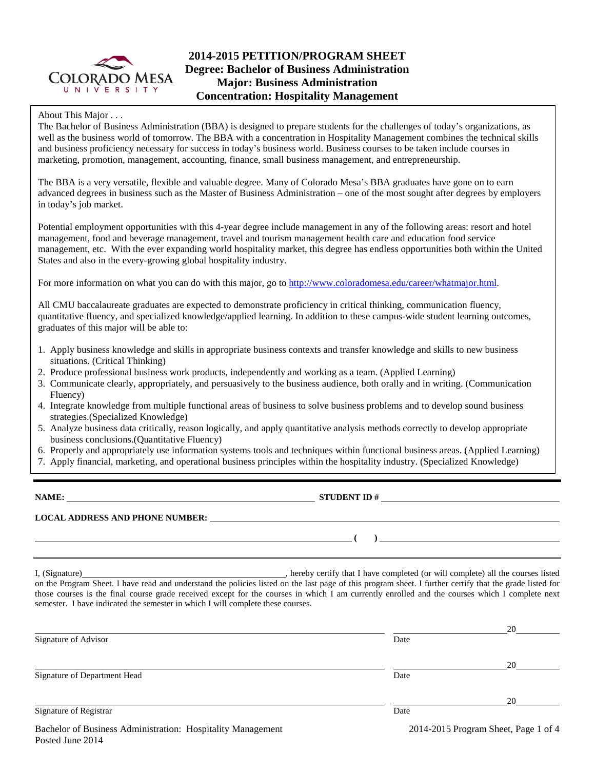

# **2014-2015 PETITION/PROGRAM SHEET Degree: Bachelor of Business Administration Major: Business Administration Concentration: Hospitality Management**

### About This Major . . .

The Bachelor of Business Administration (BBA) is designed to prepare students for the challenges of today's organizations, as well as the business world of tomorrow. The BBA with a concentration in Hospitality Management combines the technical skills and business proficiency necessary for success in today's business world. Business courses to be taken include courses in marketing, promotion, management, accounting, finance, small business management, and entrepreneurship.

The BBA is a very versatile, flexible and valuable degree. Many of Colorado Mesa's BBA graduates have gone on to earn advanced degrees in business such as the Master of Business Administration – one of the most sought after degrees by employers in today's job market.

Potential employment opportunities with this 4-year degree include management in any of the following areas: resort and hotel management, food and beverage management, travel and tourism management health care and education food service management, etc. With the ever expanding world hospitality market, this degree has endless opportunities both within the United States and also in the every-growing global hospitality industry.

For more information on what you can do with this major, go to [http://www.coloradomesa.edu/career/whatmajor.html.](http://www.coloradomesa.edu/career/whatmajor.html)

All CMU baccalaureate graduates are expected to demonstrate proficiency in critical thinking, communication fluency, quantitative fluency, and specialized knowledge/applied learning. In addition to these campus-wide student learning outcomes, graduates of this major will be able to:

- 1. Apply business knowledge and skills in appropriate business contexts and transfer knowledge and skills to new business situations. (Critical Thinking)
- 2. Produce professional business work products, independently and working as a team. (Applied Learning)
- 3. Communicate clearly, appropriately, and persuasively to the business audience, both orally and in writing. (Communication Fluency)
- 4. Integrate knowledge from multiple functional areas of business to solve business problems and to develop sound business strategies.(Specialized Knowledge)
- 5. Analyze business data critically, reason logically, and apply quantitative analysis methods correctly to develop appropriate business conclusions.(Quantitative Fluency)
- 6. Properly and appropriately use information systems tools and techniques within functional business areas. (Applied Learning)
- 7. Apply financial, marketing, and operational business principles within the hospitality industry. (Specialized Knowledge)

**NAME:** STUDENT ID #

#### **LOCAL ADDRESS AND PHONE NUMBER:**

I, (Signature) , hereby certify that I have completed (or will complete) all the courses listed on the Program Sheet. I have read and understand the policies listed on the last page of this program sheet. I further certify that the grade listed for those courses is the final course grade received except for the courses in which I am currently enrolled and the courses which I complete next semester. I have indicated the semester in which I will complete these courses.

|                              |      | 20 |
|------------------------------|------|----|
| Signature of Advisor         | Date |    |
|                              |      | 20 |
| Signature of Department Head | Date |    |
|                              |      | 20 |
| Signature of Registrar       | Date |    |
|                              |      |    |

**( )**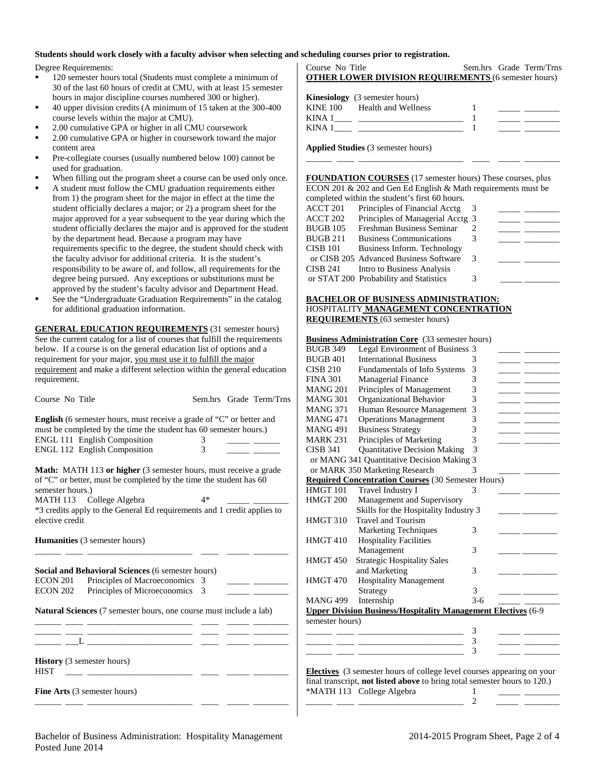#### **Students should work closely with a faculty advisor when selecting and scheduling courses prior to registration.**

Degree Requirements:

- 120 semester hours total (Students must complete a minimum of 30 of the last 60 hours of credit at CMU, with at least 15 semester hours in major discipline courses numbered 300 or higher).
- 40 upper division credits (A minimum of 15 taken at the 300-400 course levels within the major at CMU).
- 2.00 cumulative GPA or higher in all CMU coursework
- 2.00 cumulative GPA or higher in coursework toward the major content area
- Pre-collegiate courses (usually numbered below 100) cannot be used for graduation.
- When filling out the program sheet a course can be used only once.
- A student must follow the CMU graduation requirements either from 1) the program sheet for the major in effect at the time the student officially declares a major; or 2) a program sheet for the major approved for a year subsequent to the year during which the student officially declares the major and is approved for the student by the department head. Because a program may have requirements specific to the degree, the student should check with the faculty advisor for additional criteria. It is the student's responsibility to be aware of, and follow, all requirements for the degree being pursued. Any exceptions or substitutions must be approved by the student's faculty advisor and Department Head.
- See the "Undergraduate Graduation Requirements" in the catalog for additional graduation information.

**GENERAL EDUCATION REQUIREMENTS** (31 semester hours) See the current catalog for a list of courses that fulfill the requirements below. If a course is on the general education list of options and a requirement for your major, you must use it to fulfill the major requirement and make a different selection within the general education requirement.

| Course No Title                                                                                                                                                   |               |  | Sem.hrs Grade Term/Trns                                 |  |  |  |
|-------------------------------------------------------------------------------------------------------------------------------------------------------------------|---------------|--|---------------------------------------------------------|--|--|--|
| <b>English</b> (6 semester hours, must receive a grade of "C" or better and<br>must be completed by the time the student has 60 semester hours.)                  |               |  |                                                         |  |  |  |
| <b>ENGL 111 English Composition</b>                                                                                                                               | 3             |  |                                                         |  |  |  |
| ENGL 112 English Composition                                                                                                                                      | $\mathcal{E}$ |  |                                                         |  |  |  |
| <b>Math:</b> MATH 113 or higher (3 semester hours, must receive a grade<br>of "C" or better, must be completed by the time the student has 60<br>semester hours.) |               |  |                                                         |  |  |  |
| MATH 113 College Algebra                                                                                                                                          | $4*$          |  |                                                         |  |  |  |
| *3 credits apply to the General Ed requirements and 1 credit applies to<br>elective credit<br><b>Humanities</b> (3 semester hours)                                |               |  |                                                         |  |  |  |
| Social and Behavioral Sciences (6 semester hours)<br>Principles of Macroeconomics 3<br>ECON 201                                                                   |               |  | <u> 1999 - Jan James James Barnett, ameri</u> kansk kon |  |  |  |
| Principles of Microeconomics<br>ECON 202                                                                                                                          | 3             |  |                                                         |  |  |  |
| Natural Sciences (7 semester hours, one course must include a lab)                                                                                                |               |  |                                                         |  |  |  |
| <b>History</b> (3 semester hours)<br><b>HIST</b>                                                                                                                  |               |  |                                                         |  |  |  |
| <b>Fine Arts</b> (3 semester hours)                                                                                                                               |               |  |                                                         |  |  |  |

| Course No Title                                             |  | Sem.hrs Grade Term/Trns |
|-------------------------------------------------------------|--|-------------------------|
| <b>OTHER LOWER DIVISION REQUIREMENTS (6 semester hours)</b> |  |                         |
| <b>Kinesiology</b> (3 semester hours)                       |  |                         |
|                                                             |  |                         |

|        | KINE 100 Health and Wellness |  |
|--------|------------------------------|--|
| KINA 1 |                              |  |
| KINA   |                              |  |
|        |                              |  |

\_\_\_\_\_\_ \_\_\_\_ \_\_\_\_\_\_\_\_\_\_\_\_\_\_\_\_\_\_\_\_\_\_\_\_ \_\_\_\_ \_\_\_\_\_ \_\_\_\_\_\_\_\_

**Applied Studies** (3 semester hours)

**FOUNDATION COURSES** (17 semester hours) These courses, plus ECON 201 & 202 and Gen Ed English & Math requirements must be completed within the student's first 60 hours.

|          | compreted writting the biddent bandle of notice |   |  |
|----------|-------------------------------------------------|---|--|
| ACCT 201 | Principles of Financial Acctg                   |   |  |
| ACCT 202 | Principles of Managerial Acctg 3                |   |  |
| BUGB 105 | Freshman Business Seminar                       |   |  |
| BUGB 211 | <b>Business Communications</b>                  |   |  |
| CISB 101 | Business Inform. Technology                     |   |  |
|          | or CISB 205 Advanced Business Software          | 3 |  |
| CISB 241 | Intro to Business Analysis                      |   |  |
|          | or STAT 200 Probability and Statistics          | 3 |  |

#### **BACHELOR OF BUSINESS ADMINISTRATION:**  HOSPITALITY **MANAGEMENT CONCENTRATION REQUIREMENTS** (63 semester hours)

| <b>Business Administration Core</b> (33 semester hours) |  |  |
|---------------------------------------------------------|--|--|
|---------------------------------------------------------|--|--|

| <b>BUGB 349</b>     | Legal Environment of Business 3                                               |         |  |
|---------------------|-------------------------------------------------------------------------------|---------|--|
| <b>BUGB 401</b>     | <b>International Business</b>                                                 | 3       |  |
| <b>CISB 210</b>     | <b>Fundamentals of Info Systems</b>                                           | 3       |  |
| <b>FINA 301</b>     | Managerial Finance                                                            | 3       |  |
| <b>MANG 201</b>     | Principles of Management                                                      | 3       |  |
| <b>MANG 301</b>     | Organizational Behavior                                                       | 3       |  |
| <b>MANG 371</b>     | Human Resource Management                                                     | 3       |  |
| <b>MANG471</b>      | <b>Operations Management</b>                                                  | 3       |  |
| <b>MANG 491</b>     | <b>Business Strategy</b>                                                      | 3       |  |
| <b>MARK 231</b>     | Principles of Marketing                                                       | 3       |  |
| <b>CISB 341</b>     | <b>Quantitative Decision Making</b>                                           | 3       |  |
|                     | or MANG 341 Quantitative Decision Making 3                                    |         |  |
|                     | or MARK 350 Marketing Research                                                | 3       |  |
|                     | <b>Required Concentration Courses (30 Semester Hours)</b>                     |         |  |
| HMGT 101            | Travel Industry I                                                             | 3       |  |
| HMGT <sub>200</sub> | Management and Supervisory                                                    |         |  |
|                     | Skills for the Hospitality Industry 3                                         |         |  |
| <b>HMGT 310</b>     | <b>Travel and Tourism</b>                                                     |         |  |
|                     | <b>Marketing Techniques</b>                                                   | 3       |  |
| HMGT <sub>410</sub> | <b>Hospitality Facilities</b>                                                 |         |  |
|                     | Management                                                                    | 3       |  |
| <b>HMGT 450</b>     | <b>Strategic Hospitality Sales</b>                                            |         |  |
|                     | and Marketing                                                                 | 3       |  |
| HMGT 470            | <b>Hospitality Management</b>                                                 |         |  |
|                     | Strategy                                                                      | 3       |  |
| <b>MANG 499</b>     | Internship                                                                    | $3 - 6$ |  |
|                     | <b>Upper Division Business/Hospitality Management Electives</b> (6-9          |         |  |
| semester hours)     |                                                                               |         |  |
|                     |                                                                               | 3       |  |
|                     |                                                                               | 3       |  |
|                     |                                                                               | 3       |  |
|                     |                                                                               |         |  |
|                     | <b>Electives</b> (3 semester hours of college level courses appearing on your |         |  |
|                     | final transcript, not listed above to bring total semester hours to 120.)     |         |  |
|                     | *MATH 113 College Algebra                                                     | 1       |  |

\_\_\_\_\_\_ \_\_\_\_ \_\_\_\_\_\_\_\_\_\_\_\_\_\_\_\_\_\_\_\_\_\_\_\_ 2 \_\_\_\_\_ \_\_\_\_\_\_\_\_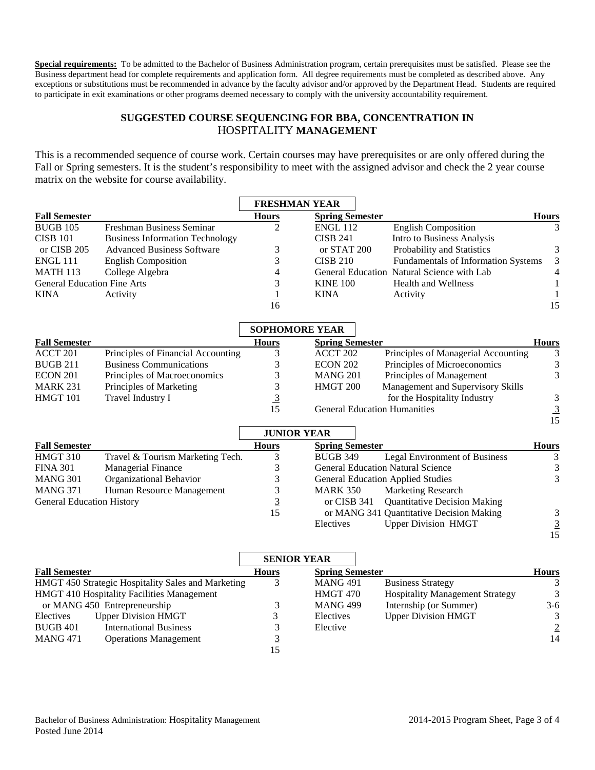**Special requirements:** To be admitted to the Bachelor of Business Administration program, certain prerequisites must be satisfied. Please see the Business department head for complete requirements and application form. All degree requirements must be completed as described above. Any exceptions or substitutions must be recommended in advance by the faculty advisor and/or approved by the Department Head. Students are required to participate in exit examinations or other programs deemed necessary to comply with the university accountability requirement.

## **SUGGESTED COURSE SEQUENCING FOR BBA, CONCENTRATION IN**  HOSPITALITY **MANAGEMENT**

This is a recommended sequence of course work. Certain courses may have prerequisites or are only offered during the Fall or Spring semesters. It is the student's responsibility to meet with the assigned advisor and check the 2 year course matrix on the website for course availability.

|                                    |                                        | <b>FRESHMAN YEAR</b>                             |                        |                                            |                             |
|------------------------------------|----------------------------------------|--------------------------------------------------|------------------------|--------------------------------------------|-----------------------------|
| <b>Fall Semester</b>               |                                        | <b>Hours</b>                                     | <b>Spring Semester</b> |                                            | <b>Hours</b>                |
| <b>BUGB 105</b>                    | Freshman Business Seminar              | $\overline{2}$                                   | <b>ENGL 112</b>        | <b>English Composition</b>                 | 3                           |
| <b>CISB 101</b>                    | <b>Business Information Technology</b> |                                                  | <b>CISB 241</b>        | Intro to Business Analysis                 |                             |
| or CISB 205                        | <b>Advanced Business Software</b>      | 3                                                | or STAT 200            | Probability and Statistics                 | 3                           |
| <b>ENGL 111</b>                    | <b>English Composition</b>             | 3                                                | <b>CISB 210</b>        | Fundamentals of Information Systems        | 3                           |
| <b>MATH 113</b>                    | College Algebra                        | 4                                                |                        | General Education Natural Science with Lab | 4                           |
| <b>General Education Fine Arts</b> |                                        | 3                                                | <b>KINE 100</b>        | <b>Health and Wellness</b>                 | 1                           |
| <b>KINA</b>                        | Activity                               | $\overline{1}$                                   | <b>KINA</b>            | Activity                                   | $\frac{1}{15}$              |
|                                    |                                        | 16                                               |                        |                                            |                             |
|                                    |                                        | <b>SOPHOMORE YEAR</b>                            |                        |                                            |                             |
| <b>Fall Semester</b>               |                                        | <b>Hours</b>                                     | <b>Spring Semester</b> |                                            | <b>Hours</b>                |
| ACCT 201                           | Principles of Financial Accounting     | 3                                                | ACCT <sub>202</sub>    | Principles of Managerial Accounting        | 3                           |
| <b>BUGB 211</b>                    | <b>Business Communications</b>         | 3                                                | <b>ECON 202</b>        | Principles of Microeconomics               | 3                           |
| ECON 201                           | Principles of Macroeconomics           | 3                                                | <b>MANG 201</b>        | Principles of Management                   | 3                           |
| <b>MARK 231</b>                    | Principles of Marketing                | 3                                                | HMGT 200               | Management and Supervisory Skills          |                             |
| HMGT 101                           | Travel Industry I                      | $\frac{3}{15}$                                   |                        | for the Hospitality Industry               | $\mathfrak{Z}$              |
|                                    |                                        |                                                  |                        | <b>General Education Humanities</b>        | $\frac{3}{15}$              |
|                                    |                                        |                                                  |                        |                                            |                             |
|                                    |                                        | <b>JUNIOR YEAR</b>                               |                        |                                            |                             |
| <b>Fall Semester</b>               |                                        | <b>Hours</b>                                     | <b>Spring Semester</b> |                                            | <b>Hours</b>                |
| HMGT 310                           | Travel & Tourism Marketing Tech.       | 3                                                | <b>BUGB 349</b>        | <b>Legal Environment of Business</b>       | 3                           |
| <b>FINA 301</b>                    | Managerial Finance                     | 3                                                |                        | <b>General Education Natural Science</b>   | $\ensuremath{\mathfrak{Z}}$ |
| <b>MANG 301</b>                    | Organizational Behavior                | 3                                                |                        | <b>General Education Applied Studies</b>   | 3                           |
| <b>MANG 371</b>                    | Human Resource Management              | 3                                                | <b>MARK 350</b>        | <b>Marketing Research</b>                  |                             |
| <b>General Education History</b>   |                                        | $\frac{3}{15}$                                   | or CISB 341            | <b>Quantitative Decision Making</b>        |                             |
|                                    |                                        |                                                  |                        | or MANG 341 Quantitative Decision Making   | 3                           |
|                                    |                                        |                                                  | Electives              | <b>Upper Division HMGT</b>                 | $\frac{3}{15}$              |
|                                    |                                        |                                                  |                        |                                            |                             |
|                                    |                                        | $\sim$ $\sim$ $\sim$ $\sim$ $\sim$ $\sim$ $\sim$ |                        |                                            |                             |

|                      |                                                    |              | <b>SENIOR YEAR</b>     |                                        |                |
|----------------------|----------------------------------------------------|--------------|------------------------|----------------------------------------|----------------|
| <b>Fall Semester</b> |                                                    | <b>Hours</b> | <b>Spring Semester</b> |                                        | <b>Hours</b>   |
|                      | HMGT 450 Strategic Hospitality Sales and Marketing | 3            | <b>MANG 491</b>        | <b>Business Strategy</b>               |                |
|                      | HMGT 410 Hospitality Facilities Management         |              | HMGT 470               | <b>Hospitality Management Strategy</b> | 3              |
|                      | or MANG 450 Entrepreneurship                       |              | <b>MANG 499</b>        | Internship (or Summer)                 | $3-6$          |
| Electives            | <b>Upper Division HMGT</b>                         |              | Electives              | <b>Upper Division HMGT</b>             |                |
| <b>BUGB 401</b>      | <b>International Business</b>                      |              | Elective               |                                        | $\overline{2}$ |
| <b>MANG 471</b>      | <b>Operations Management</b>                       |              |                        |                                        | 14             |
|                      |                                                    | 15           |                        |                                        |                |